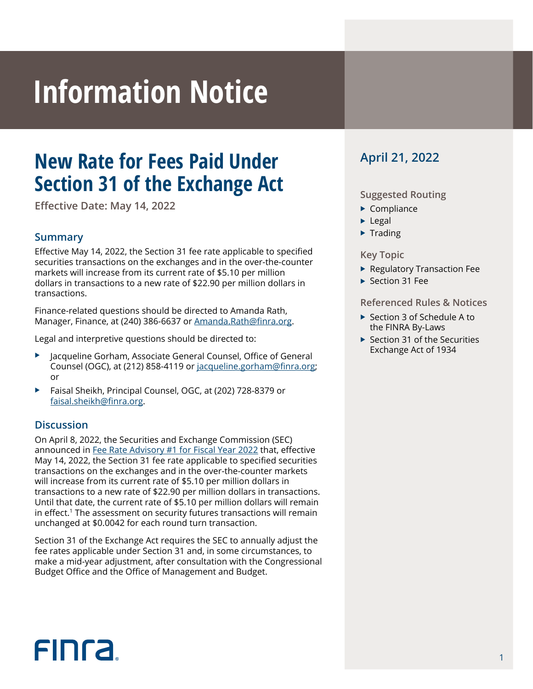# **Information Notice**

## **New Rate for Fees Paid Under Section 31 of the Exchange Act**

**Effective Date: May 14, 2022**

#### **Summary**

Effective May 14, 2022, the Section 31 fee rate applicable to specified securities transactions on the exchanges and in the over-the-counter markets will increase from its current rate of \$5.10 per million dollars in transactions to a new rate of \$22.90 per million dollars in transactions.

Finance-related questions should be directed to Amanda Rath, Manager, Finance, at (240) 386-6637 or Amanda.Rath@finra.org.

Legal and interpretive questions should be directed to:

- Jacqueline Gorham, Associate General Counsel, Office of General Counsel (OGC), at (212) 858-4119 or jacqueline.gorham@finra.org; or
- Faisal Sheikh, Principal Counsel, OGC, at (202) 728-8379 or faisal.sheikh@finra.org.

#### **Discussion**

On April 8, 2022, the Securities and Exchange Commission (SEC) announced in [Fee Rate Advisory #1 for Fiscal Year 2022](https://www.sec.gov/news/press-release/2022-60) that, effective May 14, 2022, the Section 31 fee rate applicable to specified securities transactions on the exchanges and in the over-the-counter markets will increase from its current rate of \$5.10 per million dollars in transactions to a new rate of \$22.90 per million dollars in transactions. Until that date, the current rate of \$5.10 per million dollars will remain in effect.<sup>1</sup> The assessment on security futures transactions will remain unchanged at \$0.0042 for each round turn transaction.

Section 31 of the Exchange Act requires the SEC to annually adjust the fee rates applicable under Section 31 and, in some circumstances, to make a mid-year adjustment, after consultation with the Congressional Budget Office and the Office of Management and Budget.

### **April 21, 2022**

#### **Suggested Routing**

- $\blacktriangleright$  Compliance
- $\blacktriangleright$  Legal
- $\blacktriangleright$  Trading

#### **Key Topic**

- ▶ Regulatory Transaction Fee
- $\blacktriangleright$  Section 31 Fee

#### **Referenced Rules & Notices**

- $\triangleright$  Section 3 of Schedule A to the FINRA By-Laws
- $\triangleright$  Section 31 of the Securities Exchange Act of 1934

# **FINCA**